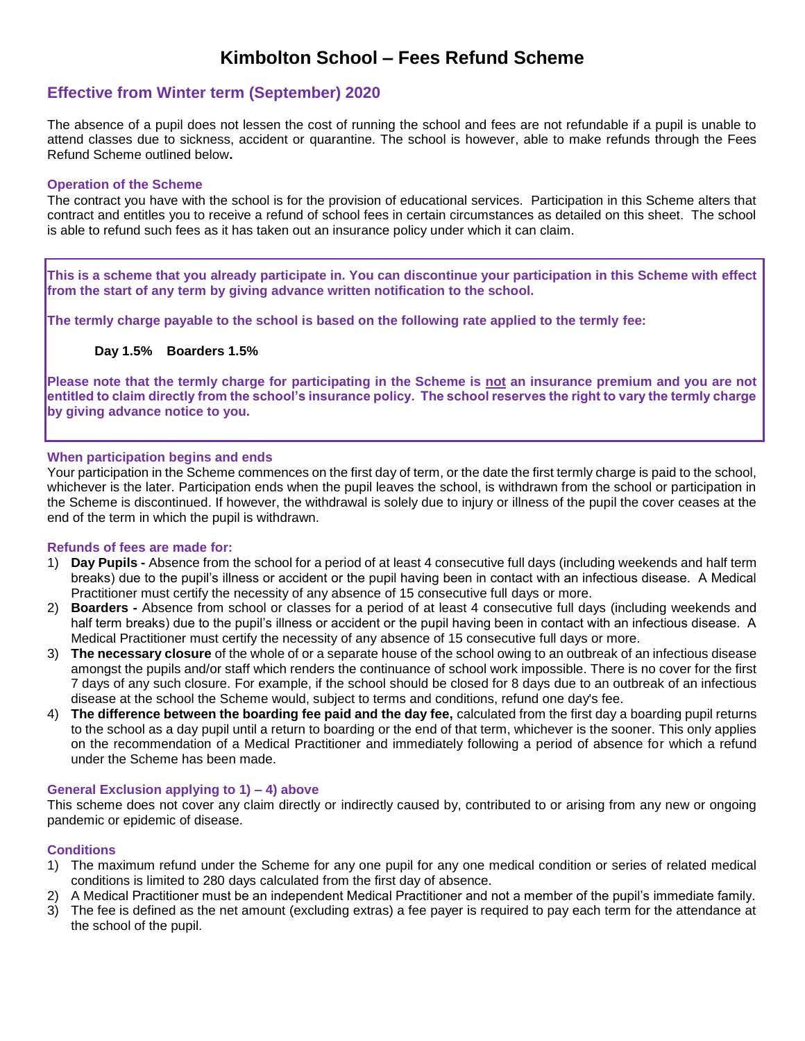# **Kimbolton School – Fees Refund Scheme**

# **Effective from Winter term (September) 2020**

The absence of a pupil does not lessen the cost of running the school and fees are not refundable if a pupil is unable to attend classes due to sickness, accident or quarantine. The school is however, able to make refunds through the Fees Refund Scheme outlined below**.**

# **Operation of the Scheme**

The contract you have with the school is for the provision of educational services. Participation in this Scheme alters that contract and entitles you to receive a refund of school fees in certain circumstances as detailed on this sheet. The school is able to refund such fees as it has taken out an insurance policy under which it can claim.

**This is a scheme that you already participate in. You can discontinue your participation in this Scheme with effect from the start of any term by giving advance written notification to the school.**

**The termly charge payable to the school is based on the following rate applied to the termly fee:**

# **Day 1.5% Boarders 1.5%**

**Please note that the termly charge for participating in the Scheme is not an insurance premium and you are not entitled to claim directly from the school's insurance policy. The school reserves the right to vary the termly charge by giving advance notice to you.**

### **When participation begins and ends**

Your participation in the Scheme commences on the first day of term, or the date the first termly charge is paid to the school, whichever is the later. Participation ends when the pupil leaves the school, is withdrawn from the school or participation in the Scheme is discontinued. If however, the withdrawal is solely due to injury or illness of the pupil the cover ceases at the end of the term in which the pupil is withdrawn.

### **Refunds of fees are made for:**

- 1) **Day Pupils -** Absence from the school for a period of at least 4 consecutive full days (including weekends and half term breaks) due to the pupil's illness or accident or the pupil having been in contact with an infectious disease. A Medical Practitioner must certify the necessity of any absence of 15 consecutive full days or more.
- 2) **Boarders -** Absence from school or classes for a period of at least 4 consecutive full days (including weekends and half term breaks) due to the pupil's illness or accident or the pupil having been in contact with an infectious disease. A Medical Practitioner must certify the necessity of any absence of 15 consecutive full days or more.
- 3) **The necessary closure** of the whole of or a separate house of the school owing to an outbreak of an infectious disease amongst the pupils and/or staff which renders the continuance of school work impossible. There is no cover for the first 7 days of any such closure. For example, if the school should be closed for 8 days due to an outbreak of an infectious disease at the school the Scheme would, subject to terms and conditions, refund one day's fee.
- 4) **The difference between the boarding fee paid and the day fee,** calculated from the first day a boarding pupil returns to the school as a day pupil until a return to boarding or the end of that term, whichever is the sooner. This only applies on the recommendation of a Medical Practitioner and immediately following a period of absence for which a refund under the Scheme has been made.

# **General Exclusion applying to 1) – 4) above**

This scheme does not cover any claim directly or indirectly caused by, contributed to or arising from any new or ongoing pandemic or epidemic of disease.

### **Conditions**

- 1) The maximum refund under the Scheme for any one pupil for any one medical condition or series of related medical conditions is limited to 280 days calculated from the first day of absence.
- 2) A Medical Practitioner must be an independent Medical Practitioner and not a member of the pupil's immediate family.
- 3) The fee is defined as the net amount (excluding extras) a fee payer is required to pay each term for the attendance at the school of the pupil.